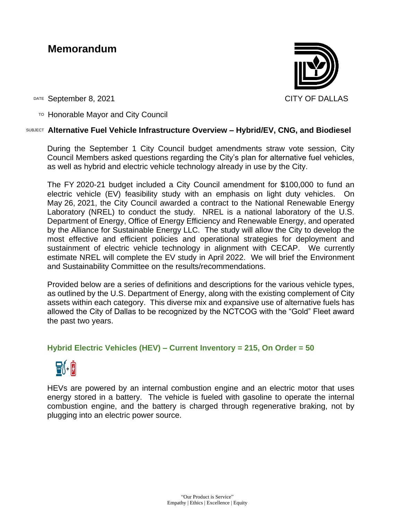# **Memorandum**



DATE September 8, 2021 CITY OF DALLAS

TO Honorable Mayor and City Council

#### SUBJECT **Alternative Fuel Vehicle Infrastructure Overview – Hybrid/EV, CNG, and Biodiesel**

During the September 1 City Council budget amendments straw vote session, City Council Members asked questions regarding the City's plan for alternative fuel vehicles, as well as hybrid and electric vehicle technology already in use by the City.

The FY 2020-21 budget included a City Council amendment for \$100,000 to fund an electric vehicle (EV) feasibility study with an emphasis on light duty vehicles. On May 26, 2021, the City Council awarded a contract to the National Renewable Energy Laboratory (NREL) to conduct the study. NREL is a national laboratory of the U.S. Department of Energy, Office of Energy Efficiency and Renewable Energy, and operated by the Alliance for Sustainable Energy LLC. The study will allow the City to develop the most effective and efficient policies and operational strategies for deployment and sustainment of electric vehicle technology in alignment with CECAP. We currently estimate NREL will complete the EV study in April 2022. We will brief the Environment and Sustainability Committee on the results/recommendations.

Provided below are a series of definitions and descriptions for the various vehicle types, as outlined by the U.S. Department of Energy, along with the existing complement of City assets within each category. This diverse mix and expansive use of alternative fuels has allowed the City of Dallas to be recognized by the NCTCOG with the "Gold" Fleet award the past two years.

## **[Hybrid Electric Vehicles](https://afdc.energy.gov/vehicles/electric_basics_hev.html) (HEV) – Current Inventory = 215, On Order = 50**

# $\mathbf{B}$ (+  $\mathbf{B}$

HEVs are powered by an internal combustion engine and an electric motor that uses energy stored in a battery. The vehicle is fueled with gasoline to operate the internal combustion engine, and the battery is charged through regenerative braking, not by plugging into an electric power source.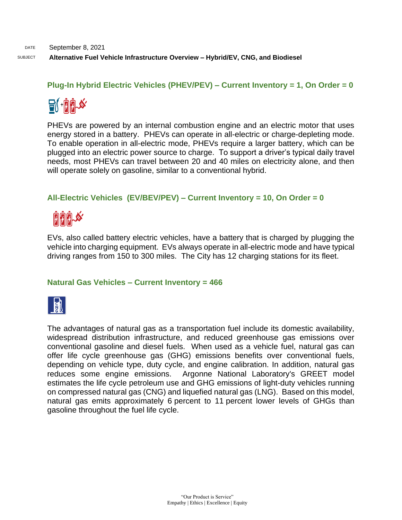**[Plug-In Hybrid Electric Vehicles](https://afdc.energy.gov/vehicles/electric_basics_phev.html) (PHEV/PEV) – Current Inventory = 1, On Order = 0**



PHEVs are powered by an internal combustion engine and an electric motor that uses energy stored in a battery. PHEVs can operate in all-electric or charge-depleting mode. To enable operation in all-electric mode, PHEVs require a larger battery, which can be plugged into an electric power source to charge. To support a driver's typical daily travel needs, most PHEVs can travel between 20 and 40 miles on electricity alone, and then will operate solely on gasoline, similar to a conventional hybrid.

# **[All-Electric Vehicles](https://afdc.energy.gov/vehicles/electric_basics_ev.html) (EV/BEV/PEV) – Current Inventory = 10, On Order = 0**



EVs, also called battery electric vehicles, have a battery that is charged by plugging the vehicle into charging equipment. EVs always operate in all-electric mode and have typical driving ranges from 150 to 300 miles. The City has 12 charging stations for its fleet.

### **Natural Gas Vehicles – Current Inventory = 466**



The advantages of natural gas as a transportation fuel include its domestic availability, widespread distribution infrastructure, and reduced greenhouse gas emissions over conventional gasoline and diesel fuels. When used as a vehicle fuel, natural gas can offer life cycle greenhouse gas (GHG) emissions benefits over conventional fuels, depending on vehicle type, duty cycle, and engine calibration. In addition, natural gas reduces some engine emissions. Argonne National Laboratory's GREET model estimates the life cycle petroleum use and GHG emissions of light-duty vehicles running on compressed natural gas (CNG) and liquefied natural gas (LNG). Based on this model, natural gas emits approximately 6 percent to 11 percent lower levels of GHGs than gasoline throughout the fuel life cycle.